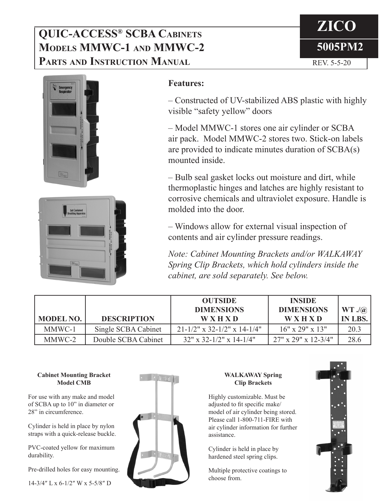# **QUIC-ACCESS® SCBA Cabinets Models MMWC-1 and MMWC-2 PARTS AND INSTRUCTION MANUAL REV. 5-5-20**







## **Features:**

– Constructed of UV-stabilized ABS plastic with highly visible "safety yellow" doors

– Model MMWC-1 stores one air cylinder or SCBA air pack. Model MMWC-2 stores two. Stick-on labels are provided to indicate minutes duration of SCBA(s) mounted inside.

– Bulb seal gasket locks out moisture and dirt, while thermoplastic hinges and latches are highly resistant to corrosive chemicals and ultraviolet exposure. Handle is molded into the door.

– Windows allow for external visual inspection of contents and air cylinder pressure readings.

*Note: Cabinet Mounting Brackets and/or WALKAWAY Spring Clip Brackets, which hold cylinders inside the cabinet, are sold separately. See below.*

| <b>MODEL NO.</b> | <b>DESCRIPTION</b>  | <b>OUTSIDE</b><br><b>DIMENSIONS</b><br><b>WXHXD</b> | <b>INSIDE</b><br><b>DIMENSIONS</b><br><b>WXHXD</b> | WT ./@<br><b>IN LBS.</b> |
|------------------|---------------------|-----------------------------------------------------|----------------------------------------------------|--------------------------|
| MMWC-1           | Single SCBA Cabinet | $21-1/2$ " x 32-1/2" x 14-1/4"                      | $16" \times 29" \times 13"$                        | 20.3                     |
| MMWC-2           | Double SCBA Cabinet | $32''$ x 32-1/2" x 14-1/4"                          | $27" \times 29" \times 12 - 3/4"$                  | 28.6                     |

#### **Cabinet Mounting Bracket Model CMB**

For use with any make and model of SCBA up to 10" in diameter or 28" in circumference.

Cylinder is held in place by nylon straps with a quick-release buckle.

PVC-coated yellow for maximum durability.

Pre-drilled holes for easy mounting.

14-3/4″ L x 6-1/2″ W x 5-5/8″ D



### **WALKAWAY Spring Clip Brackets**

Highly customizable. Must be adjusted to fit specific make/ model of air cylinder being stored. Please call 1-800-711-FIRE with air cylinder information for further assistance.

Cylinder is held in place by hardened steel spring clips.

Multiple protective coatings to choose from.

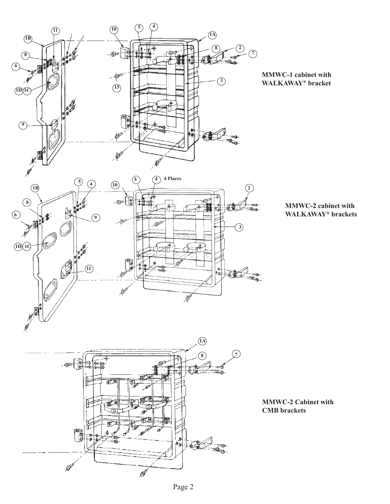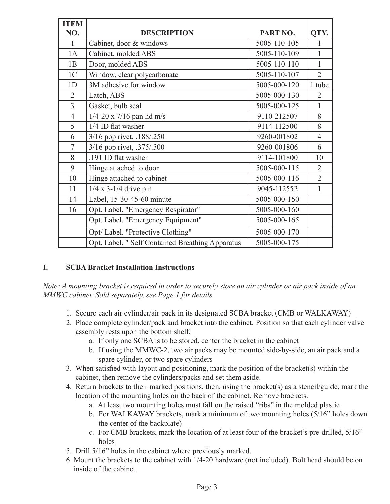| <b>ITEM</b>    |                                                  |              |                |
|----------------|--------------------------------------------------|--------------|----------------|
| NO.            | <b>DESCRIPTION</b>                               | PART NO.     | QTY.           |
| $\mathbf{1}$   | Cabinet, door & windows                          | 5005-110-105 | 1              |
| 1A             | Cabinet, molded ABS                              | 5005-110-109 | $\mathbf{1}$   |
| 1B             | Door, molded ABS                                 | 5005-110-110 | $\mathbf{1}$   |
| 1 <sup>C</sup> | Window, clear polycarbonate                      | 5005-110-107 | $\overline{2}$ |
| 1D             | 3M adhesive for window                           | 5005-000-120 | 1 tube         |
| $\overline{2}$ | Latch, ABS                                       | 5005-000-130 | $\overline{2}$ |
| $\overline{3}$ | Gasket, bulb seal                                | 5005-000-125 | 1              |
| $\overline{4}$ | $1/4 - 20 \times 7/16$ pan hd m/s                | 9110-212507  | 8              |
| 5              | 1/4 ID flat washer                               | 9114-112500  | 8              |
| 6              | 3/16 pop rivet, .188/.250                        | 9260-001802  | $\overline{4}$ |
| $\overline{7}$ | 3/16 pop rivet, .375/.500                        | 9260-001806  | 6              |
| 8              | .191 ID flat washer                              | 9114-101800  | 10             |
| 9              | Hinge attached to door                           | 5005-000-115 | $\overline{2}$ |
| 10             | Hinge attached to cabinet                        | 5005-000-116 | $\overline{2}$ |
| 11             | $1/4 \times 3 - 1/4$ drive pin                   | 9045-112552  | 1              |
| 14             | Label, 15-30-45-60 minute                        | 5005-000-150 |                |
| 16             | Opt. Label, "Emergency Respirator"               | 5005-000-160 |                |
|                | Opt. Label, "Emergency Equipment"                | 5005-000-165 |                |
|                | Opt/ Label. "Protective Clothing"                | 5005-000-170 |                |
|                | Opt. Label, " Self Contained Breathing Apparatus | 5005-000-175 |                |

## **I. SCBA Bracket Installation Instructions**

*Note: A mounting bracket is required in order to securely store an air cylinder or air pack inside of an MMWC cabinet. Sold separately, see Page 1 for details.*

- 1. Secure each air cylinder/air pack in its designated SCBA bracket (CMB or WALKAWAY)
- 2. Place complete cylinder/pack and bracket into the cabinet. Position so that each cylinder valve assembly rests upon the bottom shelf.
	- a. If only one SCBA is to be stored, center the bracket in the cabinet
	- b. If using the MMWC-2, two air packs may be mounted side-by-side, an air pack and a spare cylinder, or two spare cylinders
- 3. When satisfied with layout and positioning, mark the position of the bracket(s) within the cabinet, then remove the cylinders/packs and set them aside.
- 4. Return brackets to their marked positions, then, using the bracket(s) as a stencil/guide, mark the location of the mounting holes on the back of the cabinet. Remove brackets.
	- a. At least two mounting holes must fall on the raised "ribs" in the molded plastic
	- b. For WALKAWAY brackets, mark a minimum of two mounting holes (5/16" holes down the center of the backplate)
	- c. For CMB brackets, mark the location of at least four of the bracket's pre-drilled, 5/16" holes
- 5. Drill 5/16" holes in the cabinet where previously marked.
- 6 Mount the brackets to the cabinet with 1/4-20 hardware (not included). Bolt head should be on inside of the cabinet.